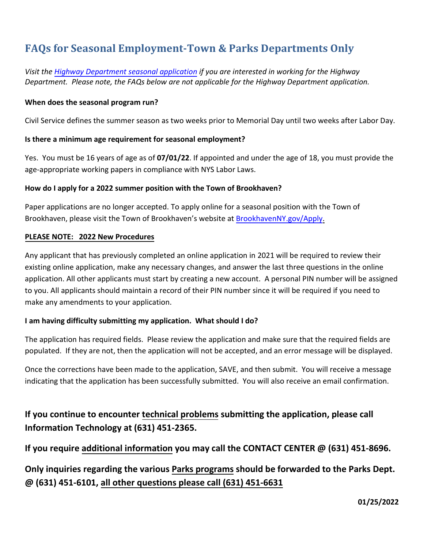# **FAQs for Seasonal Employment-Town & Parks Departments Only**

*Visit the [Highway Department seasonal](https://www.brookhavenny.gov/FormCenter/Highway-Department-5/Highway-Seasonal-Application-44) application if you are interested in working for the Highway Department. Please note, the FAQs below are not applicable for the Highway Department application.*

#### **When does the seasonal program run?**

Civil Service defines the summer season as two weeks prior to Memorial Day until two weeks after Labor Day.

#### **Is there a minimum age requirement for seasonal employment?**

Yes. You must be 16 years of age as of **07/01/22**. If appointed and under the age of 18, you must provide the age-appropriate working papers in compliance with NYS Labor Laws.

#### **How do I apply for a 2022 summer position with the Town of Brookhaven?**

Paper applications are no longer accepted. To apply online for a seasonal position with the Town of Brookhaven, please visit the Town of Brookhaven's website at [BrookhavenNY.gov/Apply.](https://www.brookhavenny.gov/1226/Employment)

#### **PLEASE NOTE: 2022 New Procedures**

Any applicant that has previously completed an online application in 2021 will be required to review their existing online application, make any necessary changes, and answer the last three questions in the online application. All other applicants must start by creating a new account. A personal PIN number will be assigned to you. All applicants should maintain a record of their PIN number since it will be required if you need to make any amendments to your application.

### **I am having difficulty submitting my application. What should I do?**

The application has required fields. Please review the application and make sure that the required fields are populated. If they are not, then the application will not be accepted, and an error message will be displayed.

Once the corrections have been made to the application, SAVE, and then submit. You will receive a message indicating that the application has been successfully submitted. You will also receive an email confirmation.

**If you continue to encounter technical problems submitting the application, please call Information Technology at (631) 451-2365.** 

**If you require additional information you may call the CONTACT CENTER @ (631) 451-8696.** 

**Only inquiries regarding the various Parks programs should be forwarded to the Parks Dept. @ (631) 451-6101, all other questions please call (631) 451-6631**